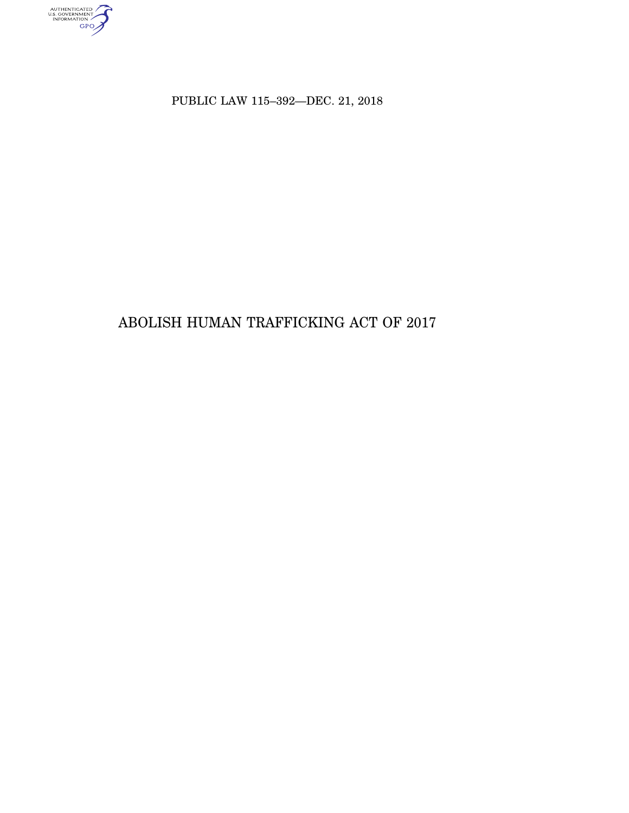AUTHENTICATED<br>U.S. GOVERNMENT<br>INFORMATION<br>GPO

PUBLIC LAW 115–392—DEC. 21, 2018

# ABOLISH HUMAN TRAFFICKING ACT OF 2017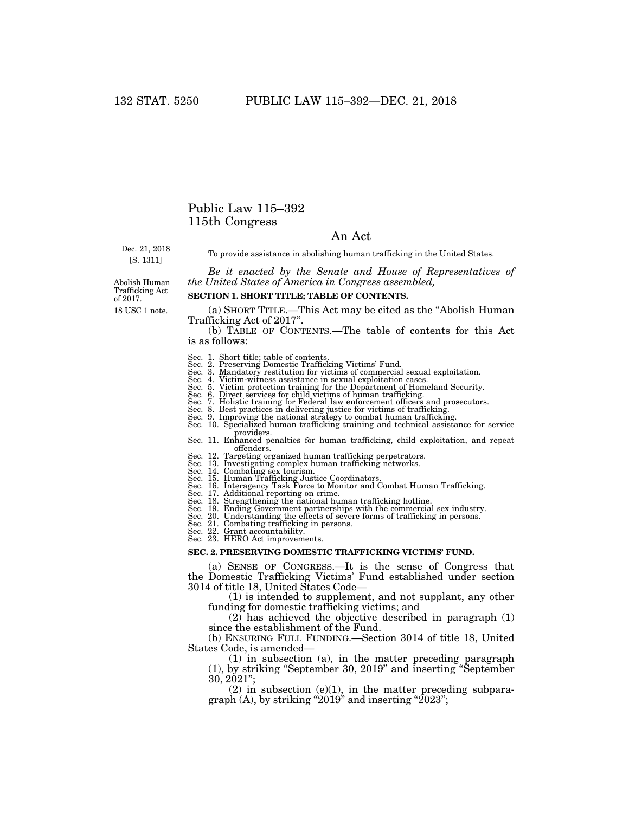## Public Law 115–392 115th Congress

## An Act

Dec. 21, 2018 [S. 1311]

To provide assistance in abolishing human trafficking in the United States.

*Be it enacted by the Senate and House of Representatives of the United States of America in Congress assembled,* 

18 USC 1 note. Abolish Human Trafficking Act of 2017.

#### **SECTION 1. SHORT TITLE; TABLE OF CONTENTS.**

(a) SHORT TITLE.—This Act may be cited as the ''Abolish Human Trafficking Act of 2017''.

(b) TABLE OF CONTENTS.—The table of contents for this Act is as follows:

- Sec. 1. Short title; table of contents.
- Sec. 2. Preserving Domestic Trafficking Victims' Fund. Sec. 3. Mandatory restitution for victims of commercial sexual exploitation.
- 
- Sec. 4. Victim-witness assistance in sexual exploitation cases. Sec. 5. Victim protection training for the Department of Homeland Security.
- Sec. 6. Direct services for child victims of human trafficking.
- 
- 
- Sec. 7. Holistic training for Federal law enforcement officers and prosecutors. Sec. 8. Best practices in delivering justice for victims of trafficking. Sec. 9. Improving the national strategy to combat human trafficking.
- Sec. 10. Specialized human trafficking training and technical assistance for service providers. Sec. 11. Enhanced penalties for human trafficking, child exploitation, and repeat
- offenders.
- Sec. 12. Targeting organized human trafficking perpetrators. Sec. 13. Investigating complex human trafficking networks. Sec. 14. Combating sex tourism.
- 
- 
- Sec. 15. Human Trafficking Justice Coordinators. Sec. 16. Interagency Task Force to Monitor and Combat Human Trafficking.
- 
- Sec. 17. Additional reporting on crime. Sec. 18. Strengthening the national human trafficking hotline.
- 
- Sec. 19. Ending Government partnerships with the commercial sex industry. Sec. 20. Understanding the effects of severe forms of trafficking in persons. Sec. 21. Combating trafficking in persons.
- 
- Sec. 22. Grant accountability. Sec. 23. HERO Act improvements.
- 

#### **SEC. 2. PRESERVING DOMESTIC TRAFFICKING VICTIMS' FUND.**

(a) SENSE OF CONGRESS.—It is the sense of Congress that the Domestic Trafficking Victims' Fund established under section 3014 of title 18, United States Code—

(1) is intended to supplement, and not supplant, any other funding for domestic trafficking victims; and

(2) has achieved the objective described in paragraph (1) since the establishment of the Fund.

(b) ENSURING FULL FUNDING.—Section 3014 of title 18, United States Code, is amended—

(1) in subsection (a), in the matter preceding paragraph (1), by striking ''September 30, 2019'' and inserting ''September 30, 2021'';

 $(2)$  in subsection  $(e)(1)$ , in the matter preceding subparagraph  $(A)$ , by striking "2019" and inserting "2023";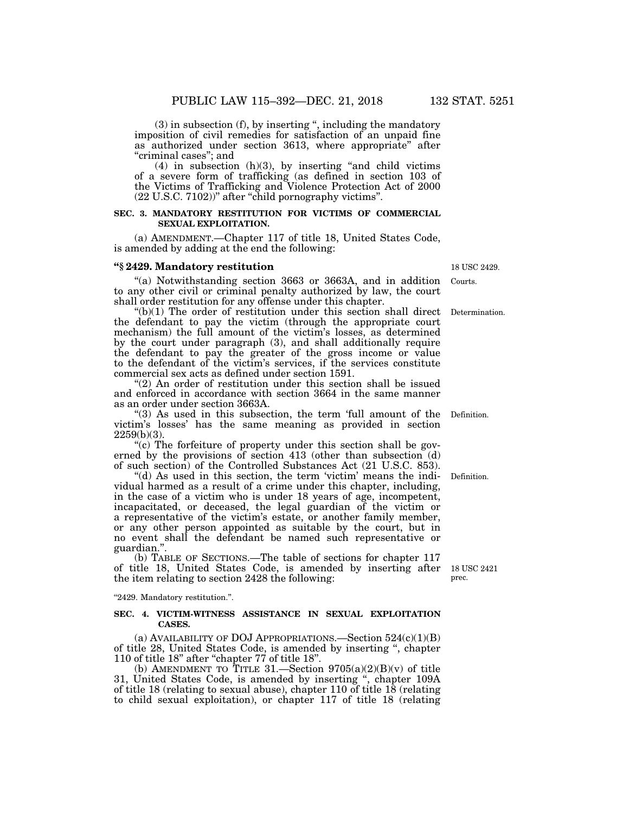(3) in subsection (f), by inserting '', including the mandatory imposition of civil remedies for satisfaction of an unpaid fine as authorized under section 3613, where appropriate'' after "criminal cases"; and

 $(4)$  in subsection  $(h)(3)$ , by inserting "and child victims" of a severe form of trafficking (as defined in section 103 of the Victims of Trafficking and Violence Protection Act of 2000 (22 U.S.C. 7102))'' after ''child pornography victims''.

## **SEC. 3. MANDATORY RESTITUTION FOR VICTIMS OF COMMERCIAL SEXUAL EXPLOITATION.**

(a) AMENDMENT.—Chapter 117 of title 18, United States Code, is amended by adding at the end the following:

## **''§ 2429. Mandatory restitution**

''(a) Notwithstanding section 3663 or 3663A, and in addition to any other civil or criminal penalty authorized by law, the court shall order restitution for any offense under this chapter.

 $f(b)(1)$  The order of restitution under this section shall direct the defendant to pay the victim (through the appropriate court mechanism) the full amount of the victim's losses, as determined by the court under paragraph (3), and shall additionally require the defendant to pay the greater of the gross income or value to the defendant of the victim's services, if the services constitute commercial sex acts as defined under section 1591.

"(2) An order of restitution under this section shall be issued and enforced in accordance with section 3664 in the same manner as an order under section 3663A.

"(3) As used in this subsection, the term 'full amount of the Definition. victim's losses' has the same meaning as provided in section 2259(b)(3).

"(c) The forfeiture of property under this section shall be governed by the provisions of section 413 (other than subsection (d) of such section) of the Controlled Substances Act (21 U.S.C. 853).

"(d) As used in this section, the term 'victim' means the individual harmed as a result of a crime under this chapter, including, in the case of a victim who is under 18 years of age, incompetent, incapacitated, or deceased, the legal guardian of the victim or a representative of the victim's estate, or another family member, or any other person appointed as suitable by the court, but in no event shall the defendant be named such representative or guardian.''.

(b) TABLE OF SECTIONS.—The table of sections for chapter 117 of title 18, United States Code, is amended by inserting after the item relating to section 2428 the following:

''2429. Mandatory restitution.''.

#### **SEC. 4. VICTIM-WITNESS ASSISTANCE IN SEXUAL EXPLOITATION CASES.**

(a) AVAILABILITY OF DOJ APPROPRIATIONS. Section  $524(c)(1)(B)$ of title 28, United States Code, is amended by inserting '', chapter 110 of title 18'' after ''chapter 77 of title 18''.

(b) AMENDMENT TO TITLE 31.—Section  $9705(a)(2)(B)(v)$  of title 31, United States Code, is amended by inserting '', chapter 109A of title 18 (relating to sexual abuse), chapter 110 of title 18 (relating to child sexual exploitation), or chapter 117 of title 18 (relating

18 USC 2429.

Courts.

Determination.

Definition.

18 USC 2421 prec.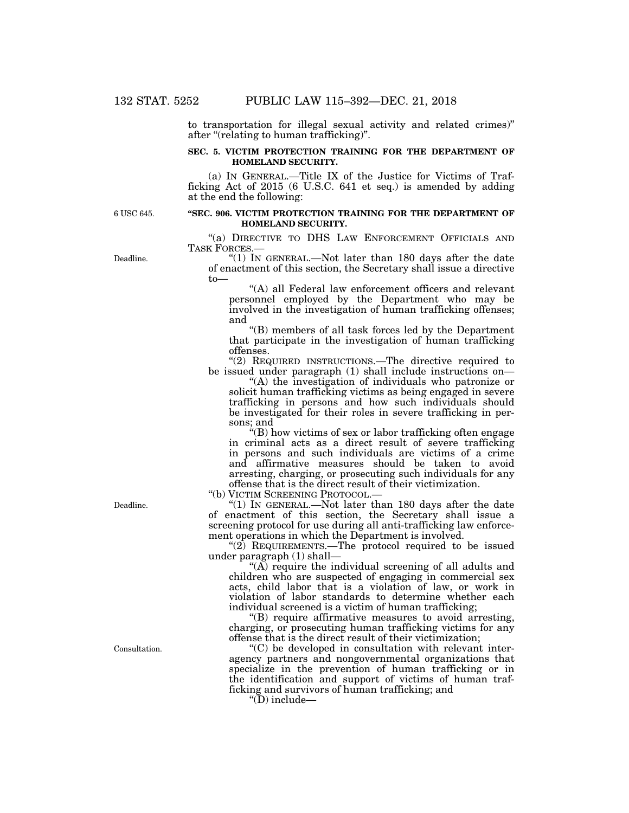to transportation for illegal sexual activity and related crimes)'' after ''(relating to human trafficking)''.

## **SEC. 5. VICTIM PROTECTION TRAINING FOR THE DEPARTMENT OF HOMELAND SECURITY.**

(a) IN GENERAL.—Title IX of the Justice for Victims of Trafficking Act of 2015 (6 U.S.C. 641 et seq.) is amended by adding at the end the following:

6 USC 645.

## **''SEC. 906. VICTIM PROTECTION TRAINING FOR THE DEPARTMENT OF HOMELAND SECURITY.**

''(a) DIRECTIVE TO DHS LAW ENFORCEMENT OFFICIALS AND TASK FORCES.—

" $(1)$  In GENERAL.—Not later than 180 days after the date of enactment of this section, the Secretary shall issue a directive to—

"(A) all Federal law enforcement officers and relevant personnel employed by the Department who may be involved in the investigation of human trafficking offenses; and

''(B) members of all task forces led by the Department that participate in the investigation of human trafficking offenses.

''(2) REQUIRED INSTRUCTIONS.—The directive required to be issued under paragraph (1) shall include instructions on—

''(A) the investigation of individuals who patronize or solicit human trafficking victims as being engaged in severe trafficking in persons and how such individuals should be investigated for their roles in severe trafficking in persons; and

''(B) how victims of sex or labor trafficking often engage in criminal acts as a direct result of severe trafficking in persons and such individuals are victims of a crime and affirmative measures should be taken to avoid arresting, charging, or prosecuting such individuals for any offense that is the direct result of their victimization.

''(b) VICTIM SCREENING PROTOCOL.—

''(1) IN GENERAL.—Not later than 180 days after the date of enactment of this section, the Secretary shall issue a screening protocol for use during all anti-trafficking law enforcement operations in which the Department is involved.

" $(2)$  REQUIREMENTS.—The protocol required to be issued under paragraph (1) shall—

 $(A)$  require the individual screening of all adults and children who are suspected of engaging in commercial sex acts, child labor that is a violation of law, or work in violation of labor standards to determine whether each individual screened is a victim of human trafficking;

''(B) require affirmative measures to avoid arresting, charging, or prosecuting human trafficking victims for any offense that is the direct result of their victimization;

''(C) be developed in consultation with relevant interagency partners and nongovernmental organizations that specialize in the prevention of human trafficking or in the identification and support of victims of human trafficking and survivors of human trafficking; and

" $(D)$  include—

Deadline.

Consultation.

Deadline.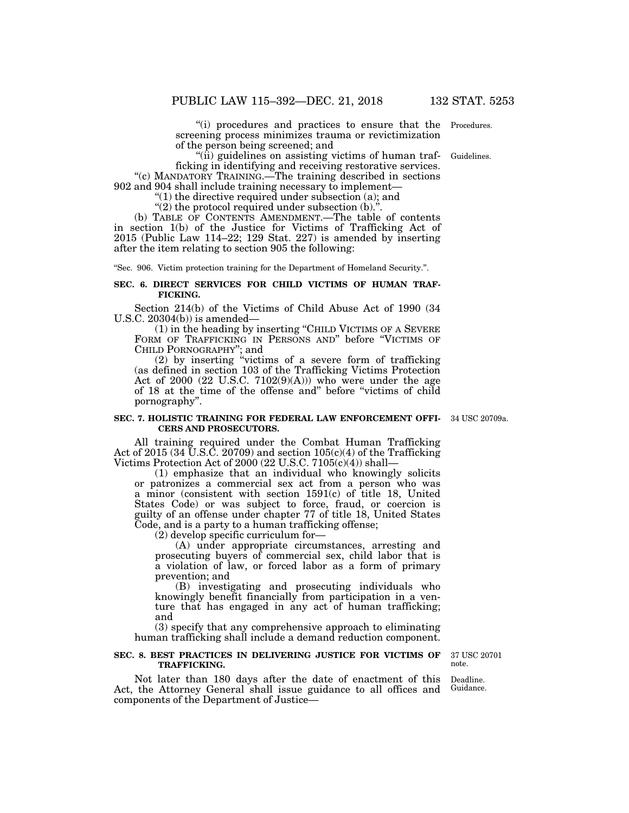"(i) procedures and practices to ensure that the Procedures. screening process minimizes trauma or revictimization of the person being screened; and

"(ii) guidelines on assisting victims of human trafficking in identifying and receiving restorative services.

"(c) MANDATORY TRAINING.—The training described in sections 902 and 904 shall include training necessary to implement—

" $(1)$  the directive required under subsection  $(a)$ ; and

" $(2)$  the protocol required under subsection  $(b)$ .".

(b) TABLE OF CONTENTS AMENDMENT.—The table of contents in section 1(b) of the Justice for Victims of Trafficking Act of 2015 (Public Law 114–22; 129 Stat. 227) is amended by inserting after the item relating to section 905 the following:

''Sec. 906. Victim protection training for the Department of Homeland Security.''.

#### **SEC. 6. DIRECT SERVICES FOR CHILD VICTIMS OF HUMAN TRAF-FICKING.**

Section 214(b) of the Victims of Child Abuse Act of 1990 (34 U.S.C. 20304(b)) is amended—

(1) in the heading by inserting ''CHILD VICTIMS OF A SEVERE FORM OF TRAFFICKING IN PERSONS AND" before "VICTIMS OF CHILD PORNOGRAPHY''; and

(2) by inserting ''victims of a severe form of trafficking (as defined in section 103 of the Trafficking Victims Protection Act of  $2000$   $(22 \text{ U.S.C. } 7102(9)(\text{A})))$  who were under the age of 18 at the time of the offense and'' before ''victims of child pornography''.

#### **SEC. 7. HOLISTIC TRAINING FOR FEDERAL LAW ENFORCEMENT OFFI-**34 USC 20709a. **CERS AND PROSECUTORS.**

All training required under the Combat Human Trafficking Act of 2015 (34  $\check{U}$ .S.C. 20709) and section 105(c)(4) of the Trafficking Victims Protection Act of 2000 (22 U.S.C. 7105(c)(4)) shall—

(1) emphasize that an individual who knowingly solicits or patronizes a commercial sex act from a person who was a minor (consistent with section 1591(c) of title 18, United States Code) or was subject to force, fraud, or coercion is guilty of an offense under chapter 77 of title 18, United States Code, and is a party to a human trafficking offense;

(2) develop specific curriculum for—

(A) under appropriate circumstances, arresting and prosecuting buyers of commercial sex, child labor that is a violation of law, or forced labor as a form of primary prevention; and

(B) investigating and prosecuting individuals who knowingly benefit financially from participation in a venture that has engaged in any act of human trafficking; and

(3) specify that any comprehensive approach to eliminating human trafficking shall include a demand reduction component.

#### **SEC. 8. BEST PRACTICES IN DELIVERING JUSTICE FOR VICTIMS OF TRAFFICKING.**

Not later than 180 days after the date of enactment of this Act, the Attorney General shall issue guidance to all offices and components of the Department of Justice—

37 USC 20701 note.

Deadline. Guidance.

Guidelines.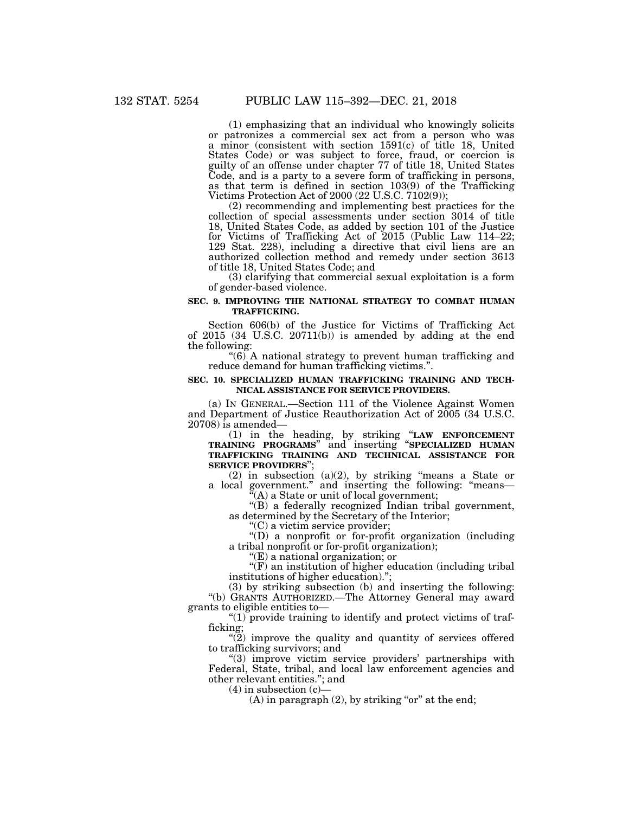(1) emphasizing that an individual who knowingly solicits or patronizes a commercial sex act from a person who was a minor (consistent with section 1591(c) of title 18, United States Code) or was subject to force, fraud, or coercion is guilty of an offense under chapter 77 of title 18, United States Code, and is a party to a severe form of trafficking in persons, as that term is defined in section 103(9) of the Trafficking Victims Protection Act of 2000 (22 U.S.C. 7102(9));

(2) recommending and implementing best practices for the collection of special assessments under section 3014 of title 18, United States Code, as added by section 101 of the Justice for Victims of Trafficking Act of 2015 (Public Law 114–22; 129 Stat. 228), including a directive that civil liens are an authorized collection method and remedy under section 3613 of title 18, United States Code; and

(3) clarifying that commercial sexual exploitation is a form of gender-based violence.

## **SEC. 9. IMPROVING THE NATIONAL STRATEGY TO COMBAT HUMAN TRAFFICKING.**

Section 606(b) of the Justice for Victims of Trafficking Act of 2015 (34 U.S.C. 20711(b)) is amended by adding at the end the following:

"(6) A national strategy to prevent human trafficking and reduce demand for human trafficking victims.''.

#### **SEC. 10. SPECIALIZED HUMAN TRAFFICKING TRAINING AND TECH-NICAL ASSISTANCE FOR SERVICE PROVIDERS.**

(a) IN GENERAL.—Section 111 of the Violence Against Women and Department of Justice Reauthorization Act of 2005 (34 U.S.C. 20708) is amended—

(1) in the heading, by striking ''**LAW ENFORCEMENT TRAINING PROGRAMS**'' and inserting ''**SPECIALIZED HUMAN TRAFFICKING TRAINING AND TECHNICAL ASSISTANCE FOR SERVICE PROVIDERS**'';

 $(2)$  in subsection  $(a)(2)$ , by striking "means a State or a local government.'' and inserting the following: ''means—

 $\mathcal{F}(A)$  a State or unit of local government;

''(B) a federally recognized Indian tribal government, as determined by the Secretary of the Interior;

''(C) a victim service provider;

''(D) a nonprofit or for-profit organization (including a tribal nonprofit or for-profit organization);

''(E) a national organization; or

 $f(F)$  an institution of higher education (including tribal institutions of higher education).'';

(3) by striking subsection (b) and inserting the following: ''(b) GRANTS AUTHORIZED.—The Attorney General may award grants to eligible entities to—

" $(1)$  provide training to identify and protect victims of trafficking;

 $\binom{12}{2}$  improve the quality and quantity of services offered to trafficking survivors; and

"(3) improve victim service providers' partnerships with Federal, State, tribal, and local law enforcement agencies and other relevant entities.''; and

 $(4)$  in subsection  $(c)$ 

 $(A)$  in paragraph  $(2)$ , by striking "or" at the end;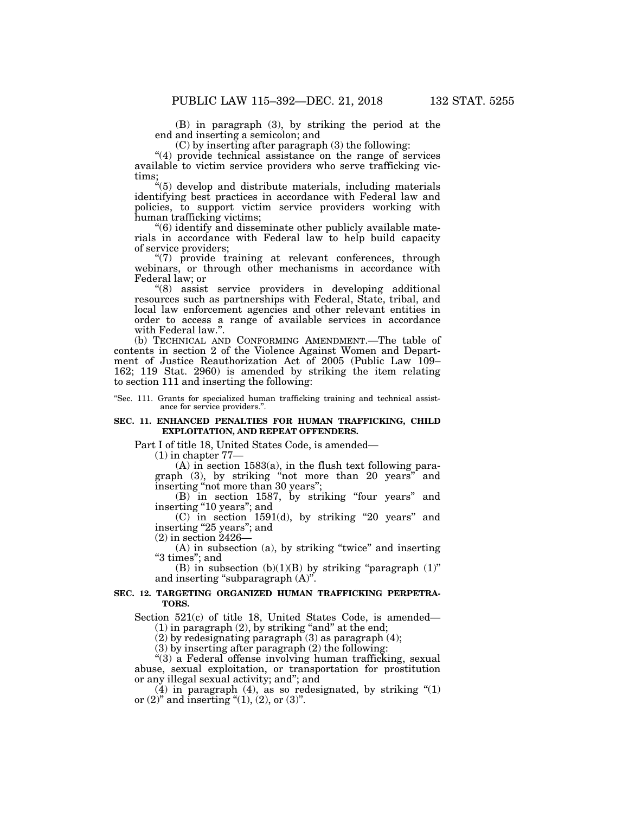(B) in paragraph (3), by striking the period at the end and inserting a semicolon; and

(C) by inserting after paragraph (3) the following:

"(4) provide technical assistance on the range of services available to victim service providers who serve trafficking victims;

 $*(5)$  develop and distribute materials, including materials identifying best practices in accordance with Federal law and policies, to support victim service providers working with human trafficking victims;

''(6) identify and disseminate other publicly available materials in accordance with Federal law to help build capacity of service providers;

"(7) provide training at relevant conferences, through webinars, or through other mechanisms in accordance with Federal law; or

''(8) assist service providers in developing additional resources such as partnerships with Federal, State, tribal, and local law enforcement agencies and other relevant entities in order to access a range of available services in accordance with Federal law.''.

(b) TECHNICAL AND CONFORMING AMENDMENT.—The table of contents in section 2 of the Violence Against Women and Department of Justice Reauthorization Act of 2005 (Public Law 109– 162; 119 Stat. 2960) is amended by striking the item relating to section 111 and inserting the following:

''Sec. 111. Grants for specialized human trafficking training and technical assistance for service providers.''.

## **SEC. 11. ENHANCED PENALTIES FOR HUMAN TRAFFICKING, CHILD EXPLOITATION, AND REPEAT OFFENDERS.**

Part I of title 18, United States Code, is amended—

(1) in chapter 77—

(A) in section 1583(a), in the flush text following paragraph (3), by striking ''not more than 20 years'' and inserting "not more than 30 years";

(B) in section 1587, by striking ''four years'' and inserting "10 years"; and

 $(C)$  in section 1591(d), by striking "20 years" and inserting "25 years"; and

(2) in section 2426—

(A) in subsection (a), by striking ''twice'' and inserting "3 times"; and

(B) in subsection  $(b)(1)(B)$  by striking "paragraph  $(1)$ " and inserting "subparagraph  $(A)$ ".

## **SEC. 12. TARGETING ORGANIZED HUMAN TRAFFICKING PERPETRA-TORS.**

Section 521(c) of title 18, United States Code, is amended—  $(1)$  in paragraph  $(2)$ , by striking "and" at the end;

(2) by redesignating paragraph (3) as paragraph (4);

 $(3)$  by inserting after paragraph  $(2)$  the following:

''(3) a Federal offense involving human trafficking, sexual abuse, sexual exploitation, or transportation for prostitution or any illegal sexual activity; and''; and

 $(4)$  in paragraph  $(4)$ , as so redesignated, by striking " $(1)$ or  $(2)$ " and inserting " $(1)$ ,  $(2)$ , or  $(3)$ ".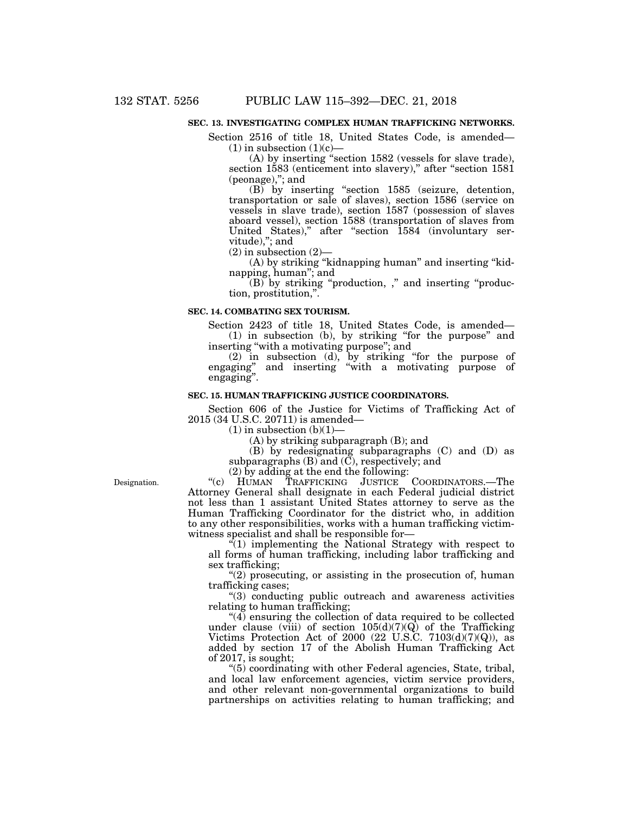## **SEC. 13. INVESTIGATING COMPLEX HUMAN TRAFFICKING NETWORKS.**

Section 2516 of title 18, United States Code, is amended—  $(1)$  in subsection  $(1)(c)$ —

(A) by inserting ''section 1582 (vessels for slave trade), section 1583 (enticement into slavery)," after "section 1581 (peonage),"; and

(B) by inserting ''section 1585 (seizure, detention, transportation or sale of slaves), section 1586 (service on vessels in slave trade), section 1587 (possession of slaves aboard vessel), section 1588 (transportation of slaves from United States)," after "section 1584 (involuntary servitude),"; and

 $(2)$  in subsection  $(2)$ 

(A) by striking ''kidnapping human'' and inserting ''kidnapping, human''; and

(B) by striking ''production, ,'' and inserting ''production, prostitution,''.

#### **SEC. 14. COMBATING SEX TOURISM.**

Section 2423 of title 18, United States Code, is amended— (1) in subsection (b), by striking ''for the purpose'' and inserting ''with a motivating purpose''; and

(2) in subsection (d), by striking ''for the purpose of engaging'' and inserting ''with a motivating purpose of engaging''.

## **SEC. 15. HUMAN TRAFFICKING JUSTICE COORDINATORS.**

Section 606 of the Justice for Victims of Trafficking Act of 2015 (34 U.S.C. 20711) is amended—

 $(1)$  in subsection  $(b)(1)$ –

(A) by striking subparagraph (B); and

(B) by redesignating subparagraphs (C) and (D) as subparagraphs  $(B)$  and  $(\overline{C})$ , respectively; and

(2) by adding at the end the following:

Designation.

''(c) HUMAN TRAFFICKING JUSTICE COORDINATORS.—The Attorney General shall designate in each Federal judicial district not less than 1 assistant United States attorney to serve as the Human Trafficking Coordinator for the district who, in addition to any other responsibilities, works with a human trafficking victimwitness specialist and shall be responsible for—

 $\sqrt{1}$  implementing the National Strategy with respect to all forms of human trafficking, including labor trafficking and sex trafficking;

"(2) prosecuting, or assisting in the prosecution of, human trafficking cases;

''(3) conducting public outreach and awareness activities relating to human trafficking;

 $\mathcal{A}$  ensuring the collection of data required to be collected under clause (viii) of section  $105(d)(7)(\vec{Q})$  of the Trafficking Victims Protection Act of 2000 (22 U.S.C. 7103(d)(7)(Q)), as added by section 17 of the Abolish Human Trafficking Act of 2017, is sought;

''(5) coordinating with other Federal agencies, State, tribal, and local law enforcement agencies, victim service providers, and other relevant non-governmental organizations to build partnerships on activities relating to human trafficking; and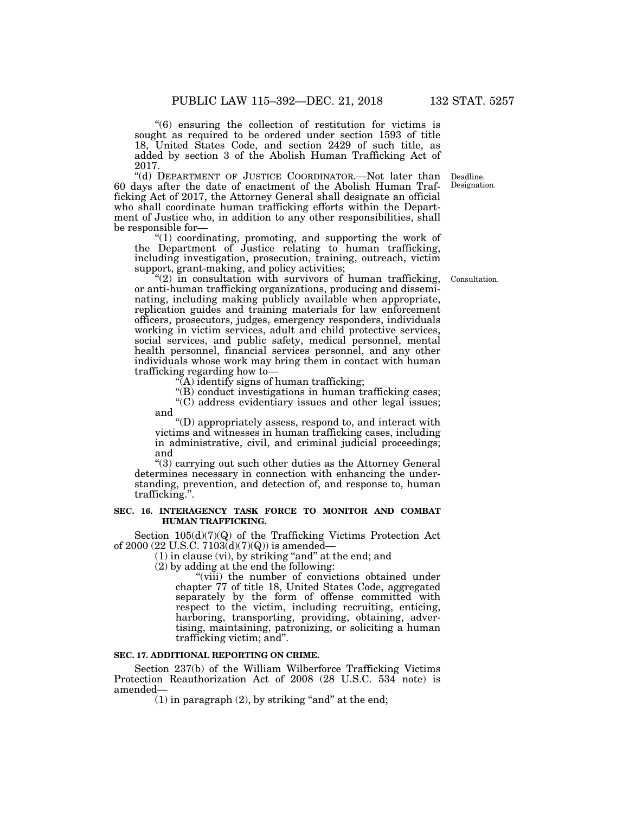''(6) ensuring the collection of restitution for victims is sought as required to be ordered under section 1593 of title 18, United States Code, and section 2429 of such title, as added by section 3 of the Abolish Human Trafficking Act of 2017.

"(d) DEPARTMENT OF JUSTICE COORDINATOR.—Not later than Deadline. 60 days after the date of enactment of the Abolish Human Trafficking Act of 2017, the Attorney General shall designate an official who shall coordinate human trafficking efforts within the Department of Justice who, in addition to any other responsibilities, shall be responsible for—

"(1) coordinating, promoting, and supporting the work of the Department of Justice relating to human trafficking, including investigation, prosecution, training, outreach, victim support, grant-making, and policy activities;

" $(2)$  in consultation with survivors of human trafficking, or anti-human trafficking organizations, producing and disseminating, including making publicly available when appropriate, replication guides and training materials for law enforcement officers, prosecutors, judges, emergency responders, individuals working in victim services, adult and child protective services, social services, and public safety, medical personnel, mental health personnel, financial services personnel, and any other individuals whose work may bring them in contact with human trafficking regarding how to—

 $\sqrt{\rm A}$ ) identify signs of human trafficking;

"(B) conduct investigations in human trafficking cases;

 $(C)$  address evidentiary issues and other legal issues; and

''(D) appropriately assess, respond to, and interact with victims and witnesses in human trafficking cases, including in administrative, civil, and criminal judicial proceedings; and

''(3) carrying out such other duties as the Attorney General determines necessary in connection with enhancing the understanding, prevention, and detection of, and response to, human trafficking.''.

#### **SEC. 16. INTERAGENCY TASK FORCE TO MONITOR AND COMBAT HUMAN TRAFFICKING.**

Section 105(d)(7)(Q) of the Trafficking Victims Protection Act of 2000 (22 U.S.C.  $7103(d)(7)(Q)$ ) is amended-

 $(1)$  in clause  $(vi)$ , by striking "and" at the end; and

(2) by adding at the end the following:

"(viii) the number of convictions obtained under chapter 77 of title 18, United States Code, aggregated separately by the form of offense committed with respect to the victim, including recruiting, enticing, harboring, transporting, providing, obtaining, advertising, maintaining, patronizing, or soliciting a human trafficking victim; and''.

### **SEC. 17. ADDITIONAL REPORTING ON CRIME.**

Section 237(b) of the William Wilberforce Trafficking Victims Protection Reauthorization Act of 2008 (28 U.S.C. 534 note) is amended—

 $(1)$  in paragraph  $(2)$ , by striking "and" at the end;

Designation.

Consultation.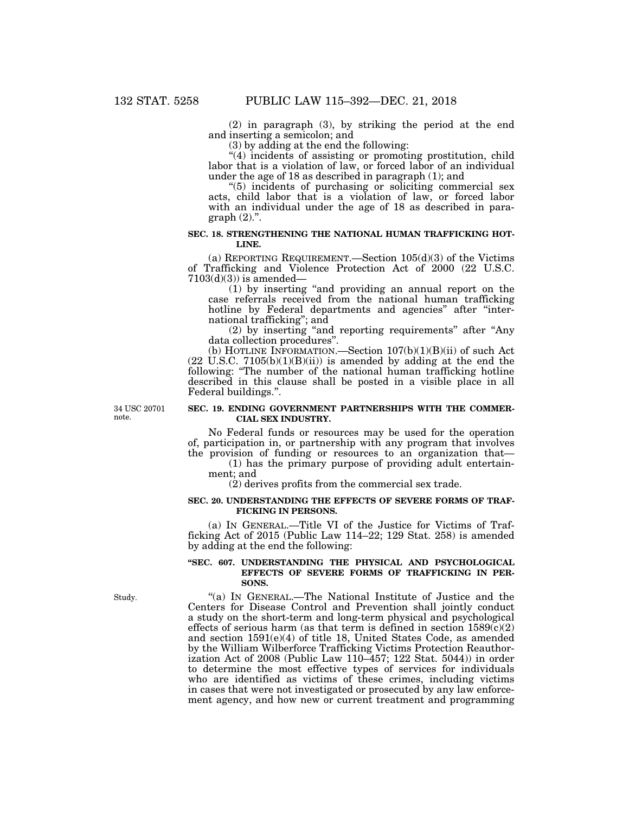(2) in paragraph (3), by striking the period at the end and inserting a semicolon; and

(3) by adding at the end the following:

''(4) incidents of assisting or promoting prostitution, child labor that is a violation of law, or forced labor of an individual under the age of 18 as described in paragraph (1); and

''(5) incidents of purchasing or soliciting commercial sex acts, child labor that is a violation of law, or forced labor with an individual under the age of 18 as described in para $graph (2)$ .".

## **SEC. 18. STRENGTHENING THE NATIONAL HUMAN TRAFFICKING HOT-LINE.**

(a) REPORTING REQUIREMENT.—Section  $105(d)(3)$  of the Victims of Trafficking and Violence Protection Act of 2000 (22 U.S.C.  $7103(d)(3)$ ) is amended-

(1) by inserting ''and providing an annual report on the case referrals received from the national human trafficking hotline by Federal departments and agencies" after "international trafficking''; and

(2) by inserting ''and reporting requirements'' after ''Any data collection procedures''.

(b) HOTLINE INFORMATION.—Section 107(b)(1)(B)(ii) of such Act (22 U.S.C. 7105(b)(1)(B)(ii)) is amended by adding at the end the following: ''The number of the national human trafficking hotline described in this clause shall be posted in a visible place in all Federal buildings.''.

34 USC 20701 note.

## **SEC. 19. ENDING GOVERNMENT PARTNERSHIPS WITH THE COMMER-CIAL SEX INDUSTRY.**

No Federal funds or resources may be used for the operation of, participation in, or partnership with any program that involves the provision of funding or resources to an organization that—

(1) has the primary purpose of providing adult entertainment; and

(2) derives profits from the commercial sex trade.

#### **SEC. 20. UNDERSTANDING THE EFFECTS OF SEVERE FORMS OF TRAF-FICKING IN PERSONS.**

(a) IN GENERAL.—Title VI of the Justice for Victims of Trafficking Act of 2015 (Public Law 114–22; 129 Stat. 258) is amended by adding at the end the following:

#### **''SEC. 607. UNDERSTANDING THE PHYSICAL AND PSYCHOLOGICAL EFFECTS OF SEVERE FORMS OF TRAFFICKING IN PER-SONS.**

''(a) IN GENERAL.—The National Institute of Justice and the Centers for Disease Control and Prevention shall jointly conduct a study on the short-term and long-term physical and psychological effects of serious harm (as that term is defined in section  $1589(c)(2)$ and section 1591(e)(4) of title 18, United States Code, as amended by the William Wilberforce Trafficking Victims Protection Reauthorization Act of 2008 (Public Law 110–457; 122 Stat. 5044)) in order to determine the most effective types of services for individuals who are identified as victims of these crimes, including victims in cases that were not investigated or prosecuted by any law enforcement agency, and how new or current treatment and programming

Study.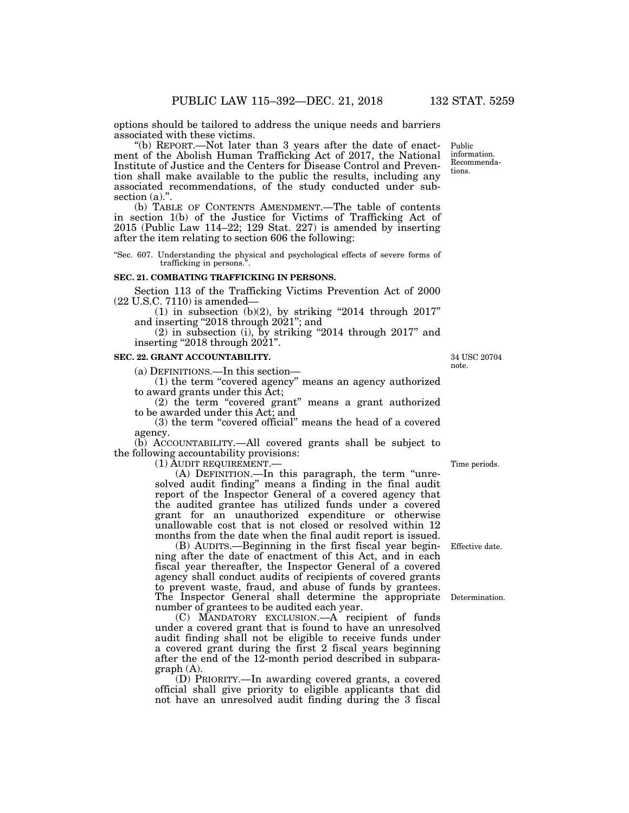options should be tailored to address the unique needs and barriers associated with these victims.

''(b) REPORT.—Not later than 3 years after the date of enactment of the Abolish Human Trafficking Act of 2017, the National Institute of Justice and the Centers for Disease Control and Prevention shall make available to the public the results, including any associated recommendations, of the study conducted under subsection  $(a)$ ."

(b) TABLE OF CONTENTS AMENDMENT.—The table of contents in section 1(b) of the Justice for Victims of Trafficking Act of 2015 (Public Law 114–22; 129 Stat. 227) is amended by inserting after the item relating to section 606 the following:

''Sec. 607. Understanding the physical and psychological effects of severe forms of trafficking in persons.<sup>3</sup>

## **SEC. 21. COMBATING TRAFFICKING IN PERSONS.**

Section 113 of the Trafficking Victims Prevention Act of 2000 (22 U.S.C. 7110) is amended—

(1) in subsection (b)(2), by striking "2014 through  $2017$ " and inserting "2018 through 2021"; and

(2) in subsection (i), by striking ''2014 through 2017'' and inserting  $^{\prime\prime}2018$  through  $2021$ ".

#### **SEC. 22. GRANT ACCOUNTABILITY.**

(a) DEFINITIONS.—In this section—

(1) the term ''covered agency'' means an agency authorized to award grants under this Act;

(2) the term "covered grant" means a grant authorized to be awarded under this Act; and

(3) the term ''covered official'' means the head of a covered agency.

(b) ACCOUNTABILITY.—All covered grants shall be subject to the following accountability provisions:

(1) AUDIT REQUIREMENT.—

(A) DEFINITION.—In this paragraph, the term ''unresolved audit finding'' means a finding in the final audit report of the Inspector General of a covered agency that the audited grantee has utilized funds under a covered grant for an unauthorized expenditure or otherwise unallowable cost that is not closed or resolved within 12 months from the date when the final audit report is issued.

(B) AUDITS.—Beginning in the first fiscal year beginning after the date of enactment of this Act, and in each fiscal year thereafter, the Inspector General of a covered agency shall conduct audits of recipients of covered grants to prevent waste, fraud, and abuse of funds by grantees. The Inspector General shall determine the appropriate Determination. number of grantees to be audited each year.

(C) MANDATORY EXCLUSION.—A recipient of funds under a covered grant that is found to have an unresolved audit finding shall not be eligible to receive funds under a covered grant during the first 2 fiscal years beginning after the end of the 12-month period described in subparagraph (A).

(D) PRIORITY.—In awarding covered grants, a covered official shall give priority to eligible applicants that did not have an unresolved audit finding during the 3 fiscal

Time periods.

Effective date.

34 USC 20704 note.

Public information. Recommendations.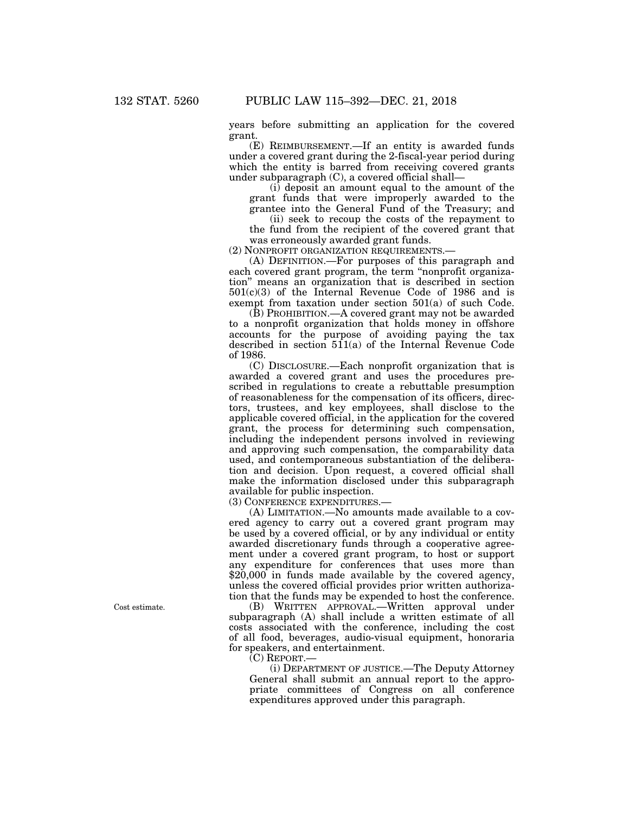years before submitting an application for the covered grant.

(E) REIMBURSEMENT.—If an entity is awarded funds under a covered grant during the 2-fiscal-year period during which the entity is barred from receiving covered grants under subparagraph (C), a covered official shall—

(i) deposit an amount equal to the amount of the grant funds that were improperly awarded to the grantee into the General Fund of the Treasury; and

(ii) seek to recoup the costs of the repayment to the fund from the recipient of the covered grant that was erroneously awarded grant funds.

(2) NONPROFIT ORGANIZATION REQUIREMENTS.—

(A) DEFINITION.—For purposes of this paragraph and each covered grant program, the term ''nonprofit organization'' means an organization that is described in section 501(c)(3) of the Internal Revenue Code of 1986 and is exempt from taxation under section 501(a) of such Code.

(B) PROHIBITION.—A covered grant may not be awarded to a nonprofit organization that holds money in offshore accounts for the purpose of avoiding paying the tax described in section 511(a) of the Internal Revenue Code of 1986.

(C) DISCLOSURE.—Each nonprofit organization that is awarded a covered grant and uses the procedures prescribed in regulations to create a rebuttable presumption of reasonableness for the compensation of its officers, directors, trustees, and key employees, shall disclose to the applicable covered official, in the application for the covered grant, the process for determining such compensation, including the independent persons involved in reviewing and approving such compensation, the comparability data used, and contemporaneous substantiation of the deliberation and decision. Upon request, a covered official shall make the information disclosed under this subparagraph available for public inspection.

(3) CONFERENCE EXPENDITURES.—

(A) LIMITATION.—No amounts made available to a covered agency to carry out a covered grant program may be used by a covered official, or by any individual or entity awarded discretionary funds through a cooperative agreement under a covered grant program, to host or support any expenditure for conferences that uses more than  $$20,000$  in funds made available by the covered agency, unless the covered official provides prior written authorization that the funds may be expended to host the conference.

(B) WRITTEN APPROVAL.—Written approval under subparagraph (A) shall include a written estimate of all costs associated with the conference, including the cost of all food, beverages, audio-visual equipment, honoraria for speakers, and entertainment.

(C) REPORT.—

(i) DEPARTMENT OF JUSTICE.—The Deputy Attorney General shall submit an annual report to the appropriate committees of Congress on all conference expenditures approved under this paragraph.

Cost estimate.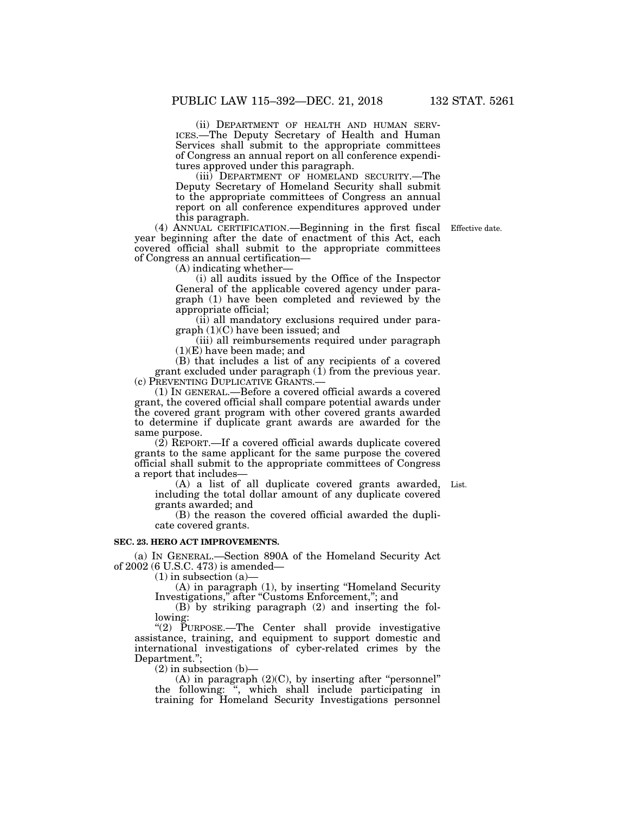(ii) DEPARTMENT OF HEALTH AND HUMAN SERV- ICES.—The Deputy Secretary of Health and Human Services shall submit to the appropriate committees of Congress an annual report on all conference expenditures approved under this paragraph.

(iii) DEPARTMENT OF HOMELAND SECURITY.—The Deputy Secretary of Homeland Security shall submit to the appropriate committees of Congress an annual report on all conference expenditures approved under this paragraph.

Effective date.

(4) ANNUAL CERTIFICATION.—Beginning in the first fiscal year beginning after the date of enactment of this Act, each covered official shall submit to the appropriate committees of Congress an annual certification—

(A) indicating whether—

(i) all audits issued by the Office of the Inspector General of the applicable covered agency under paragraph (1) have been completed and reviewed by the appropriate official;

(ii) all mandatory exclusions required under paragraph (1)(C) have been issued; and

(iii) all reimbursements required under paragraph (1)(E) have been made; and

(B) that includes a list of any recipients of a covered grant excluded under paragraph  $(i)$  from the previous year. (c) PREVENTING DUPLICATIVE GRANTS.—

(1) IN GENERAL.—Before a covered official awards a covered grant, the covered official shall compare potential awards under the covered grant program with other covered grants awarded to determine if duplicate grant awards are awarded for the same purpose.

(2) REPORT.—If a covered official awards duplicate covered grants to the same applicant for the same purpose the covered official shall submit to the appropriate committees of Congress a report that includes—

(A) a list of all duplicate covered grants awarded, including the total dollar amount of any duplicate covered grants awarded; and List.

(B) the reason the covered official awarded the duplicate covered grants.

## **SEC. 23. HERO ACT IMPROVEMENTS.**

(a) IN GENERAL.—Section 890A of the Homeland Security Act of 2002 (6 U.S.C. 473) is amended—

 $(1)$  in subsection  $(a)$ —

(A) in paragraph (1), by inserting ''Homeland Security Investigations,'' after ''Customs Enforcement,''; and

(B) by striking paragraph (2) and inserting the following:

"(2) PURPOSE.—The Center shall provide investigative assistance, training, and equipment to support domestic and international investigations of cyber-related crimes by the Department.'';

 $(2)$  in subsection  $(b)$ —

(A) in paragraph  $(2)(C)$ , by inserting after "personnel" the following: '', which shall include participating in training for Homeland Security Investigations personnel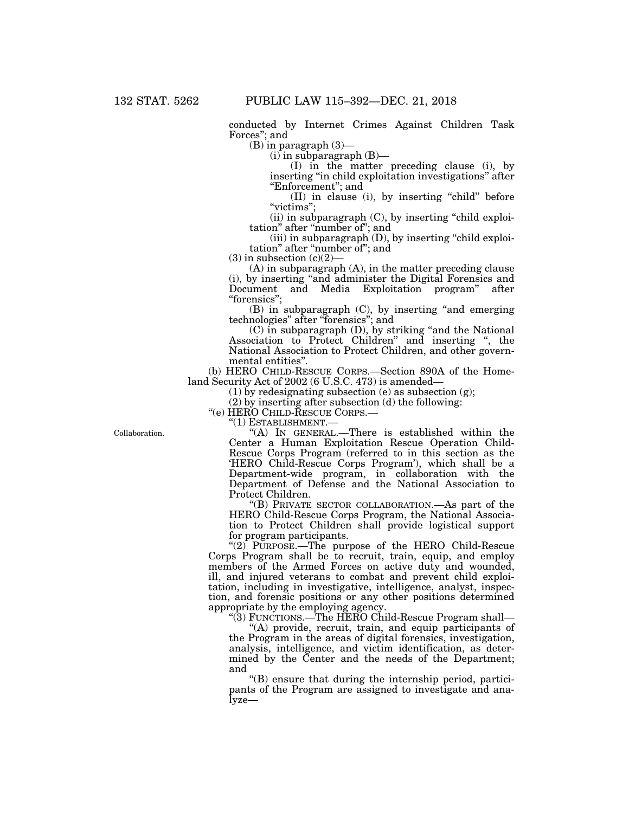conducted by Internet Crimes Against Children Task Forces''; and

(B) in paragraph (3)—

 $(i)$  in subparagraph  $(B)$ —

(I) in the matter preceding clause (i), by inserting ''in child exploitation investigations'' after ''Enforcement''; and

(II) in clause (i), by inserting ''child'' before "victims";

 $(ii)$  in subparagraph  $(C)$ , by inserting "child exploitation'' after ''number of''; and

(iii) in subparagraph (D), by inserting ''child exploitation" after "number of"; and

 $(3)$  in subsection  $(c)(2)$ –

(A) in subparagraph (A), in the matter preceding clause (i), by inserting ''and administer the Digital Forensics and Document and Media Exploitation program" after ''forensics'';

(B) in subparagraph (C), by inserting ''and emerging technologies'' after ''forensics''; and

(C) in subparagraph (D), by striking ''and the National Association to Protect Children'' and inserting '', the National Association to Protect Children, and other governmental entities''.

(b) HERO CHILD-RESCUE CORPS.—Section 890A of the Homeland Security Act of 2002 (6 U.S.C. 473) is amended—

(1) by redesignating subsection (e) as subsection (g);

(2) by inserting after subsection (d) the following:

''(e) HERO CHILD-RESCUE CORPS.—

''(1) ESTABLISHMENT.—

''(A) IN GENERAL.—There is established within the Center a Human Exploitation Rescue Operation Child-Rescue Corps Program (referred to in this section as the 'HERO Child-Rescue Corps Program'), which shall be a Department-wide program, in collaboration with the Department of Defense and the National Association to Protect Children.

''(B) PRIVATE SECTOR COLLABORATION.—As part of the HERO Child-Rescue Corps Program, the National Association to Protect Children shall provide logistical support for program participants.

''(2) PURPOSE.—The purpose of the HERO Child-Rescue Corps Program shall be to recruit, train, equip, and employ members of the Armed Forces on active duty and wounded, ill, and injured veterans to combat and prevent child exploitation, including in investigative, intelligence, analyst, inspection, and forensic positions or any other positions determined appropriate by the employing agency.

''(3) FUNCTIONS.—The HERO Child-Rescue Program shall—

''(A) provide, recruit, train, and equip participants of the Program in the areas of digital forensics, investigation, analysis, intelligence, and victim identification, as determined by the Center and the needs of the Department; and

 $\mathrm{``(B)}$  ensure that during the internship period, participants of the Program are assigned to investigate and analyze—

Collaboration.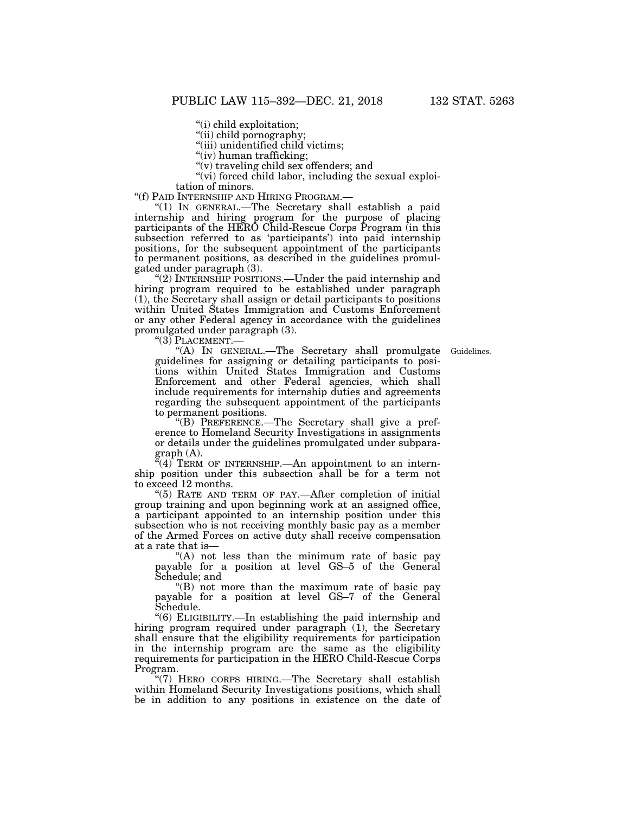''(i) child exploitation;

"(ii) child pornography;

''(iii) unidentified child victims;

"(iv) human trafficking;

"(v) traveling child sex offenders; and

"(vi) forced child labor, including the sexual exploi-

tation of minors.<br>"(f) PAID INTERNSHIP AND HIRING PROGRAM.—

"(1) IN GENERAL.— The Secretary shall establish a paid internship and hiring program for the purpose of placing participants of the HERO Child-Rescue Corps Program (in this subsection referred to as 'participants') into paid internship positions, for the subsequent appointment of the participants to permanent positions, as described in the guidelines promulgated under paragraph (3).

''(2) INTERNSHIP POSITIONS.—Under the paid internship and hiring program required to be established under paragraph (1), the Secretary shall assign or detail participants to positions within United States Immigration and Customs Enforcement or any other Federal agency in accordance with the guidelines promulgated under paragraph (3).

''(3) PLACEMENT.—

Guidelines.

''(A) IN GENERAL.—The Secretary shall promulgate guidelines for assigning or detailing participants to positions within United States Immigration and Customs Enforcement and other Federal agencies, which shall include requirements for internship duties and agreements regarding the subsequent appointment of the participants to permanent positions.

''(B) PREFERENCE.—The Secretary shall give a preference to Homeland Security Investigations in assignments or details under the guidelines promulgated under subparagraph (A).

 $\mathbb{F}(4)$  TERM OF INTERNSHIP.—An appointment to an internship position under this subsection shall be for a term not to exceed 12 months.

"(5) RATE AND TERM OF PAY.—After completion of initial group training and upon beginning work at an assigned office, a participant appointed to an internship position under this subsection who is not receiving monthly basic pay as a member of the Armed Forces on active duty shall receive compensation at a rate that is—

''(A) not less than the minimum rate of basic pay payable for a position at level GS–5 of the General Schedule; and

''(B) not more than the maximum rate of basic pay payable for a position at level GS–7 of the General Schedule.

''(6) ELIGIBILITY.—In establishing the paid internship and hiring program required under paragraph (1), the Secretary shall ensure that the eligibility requirements for participation in the internship program are the same as the eligibility requirements for participation in the HERO Child-Rescue Corps Program.

''(7) HERO CORPS HIRING.—The Secretary shall establish within Homeland Security Investigations positions, which shall be in addition to any positions in existence on the date of